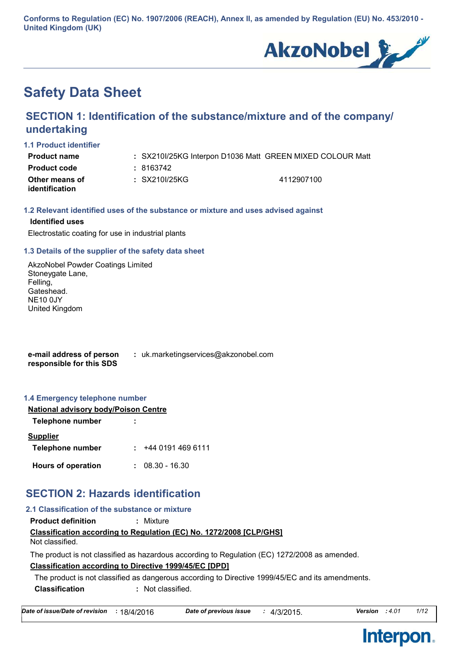**Conforms to Regulation (EC) No. 1907/2006 (REACH), Annex II, as amended by Regulation (EU) No. 453/2010 - United Kingdom (UK)**



# **Safety Data Sheet**

# **SECTION 1: Identification of the substance/mixture and of the company/ undertaking**

#### **1.1 Product identifier**

| Product name                     | : SX210I/25KG Interpon D1036 Matt GREEN MIXED COLOUR Matt |            |  |
|----------------------------------|-----------------------------------------------------------|------------|--|
| Product code                     | : 8163742                                                 |            |  |
| Other means of<br>identification | : SX210I/25KG                                             | 4112907100 |  |

#### **1.2 Relevant identified uses of the substance or mixture and uses advised against**

#### **Identified uses**

Electrostatic coating for use in industrial plants

#### **1.3 Details of the supplier of the safety data sheet**

AkzoNobel Powder Coatings Limited Stoneygate Lane, Felling, Gateshead. NE10 0JY United Kingdom

**e-mail address of person responsible for this SDS :** uk.marketingservices@akzonobel.com

#### **1.4 Emergency telephone number**

| <b>National advisory body/Poison Centre</b> |                   |  |  |  |
|---------------------------------------------|-------------------|--|--|--|
| Telephone number                            |                   |  |  |  |
| <b>Supplier</b>                             |                   |  |  |  |
| Telephone number                            | : 44401914696111  |  |  |  |
| <b>Hours of operation</b>                   | $: 08.30 - 16.30$ |  |  |  |

# **SECTION 2: Hazards identification**

| 2.1 Classification of the substance or mixture                |                                                                                                  |
|---------------------------------------------------------------|--------------------------------------------------------------------------------------------------|
| <b>Product definition</b>                                     | : Mixture                                                                                        |
| Not classified.                                               | <b>Classification according to Regulation (EC) No. 1272/2008 [CLP/GHS]</b>                       |
|                                                               | The product is not classified as hazardous according to Regulation (EC) 1272/2008 as amended.    |
| <b>Classification according to Directive 1999/45/EC [DPD]</b> |                                                                                                  |
|                                                               | The product is not classified as dangerous according to Directive 1999/45/EC and its amendments. |
| <b>Classification</b>                                         | : Not classified.                                                                                |

| Date of issue/Date of revision | : 18/4/2016 |
|--------------------------------|-------------|
|                                |             |

**Interpon.** 

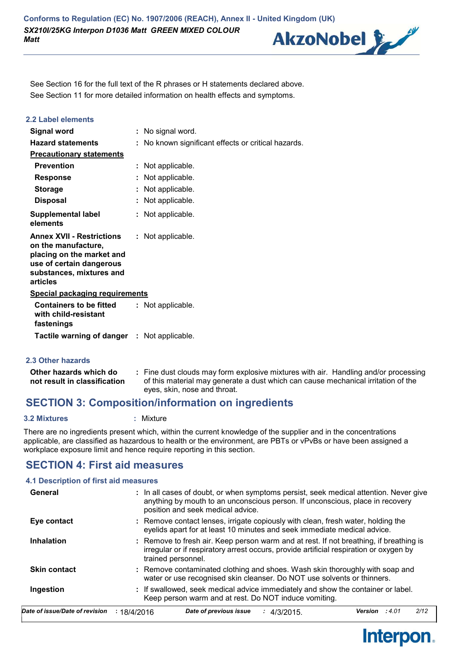

See Section 11 for more detailed information on health effects and symptoms. See Section 16 for the full text of the R phrases or H statements declared above.

| 2.2 Label elements                                                                                                                                       |                                                     |
|----------------------------------------------------------------------------------------------------------------------------------------------------------|-----------------------------------------------------|
| <b>Signal word</b>                                                                                                                                       | : No signal word.                                   |
| <b>Hazard statements</b>                                                                                                                                 | : No known significant effects or critical hazards. |
| <b>Precautionary statements</b>                                                                                                                          |                                                     |
| <b>Prevention</b>                                                                                                                                        | : Not applicable.                                   |
| <b>Response</b>                                                                                                                                          | : Not applicable.                                   |
| <b>Storage</b>                                                                                                                                           | : Not applicable.                                   |
| <b>Disposal</b>                                                                                                                                          | : Not applicable.                                   |
| <b>Supplemental label</b><br>elements                                                                                                                    | : Not applicable.                                   |
| <b>Annex XVII - Restrictions</b><br>on the manufacture,<br>placing on the market and<br>use of certain dangerous<br>substances, mixtures and<br>articles | : Not applicable.                                   |
| <b>Special packaging requirements</b>                                                                                                                    |                                                     |
| <b>Containers to be fitted</b><br>with child-resistant<br>fastenings                                                                                     | : Not applicable.                                   |
| <b>Tactile warning of danger : Not applicable.</b>                                                                                                       |                                                     |

#### **2.3 Other hazards**

| Other hazards which do       | : Fine dust clouds may form explosive mixtures with air. Handling and/or processing<br>of this material may generate a dust which can cause mechanical irritation of the |
|------------------------------|--------------------------------------------------------------------------------------------------------------------------------------------------------------------------|
| not result in classification |                                                                                                                                                                          |
|                              | eyes, skin, nose and throat.                                                                                                                                             |

## **SECTION 3: Composition/information on ingredients**

#### **3.2 Mixtures :** Mixture

There are no ingredients present which, within the current knowledge of the supplier and in the concentrations applicable, are classified as hazardous to health or the environment, are PBTs or vPvBs or have been assigned a workplace exposure limit and hence require reporting in this section.

## **SECTION 4: First aid measures**

#### **4.1 Description of first aid measures**

| General                        |                    | position and seek medical advice. | : In all cases of doubt, or when symptoms persist, seek medical attention. Never give<br>anything by mouth to an unconscious person. If unconscious, place in recovery           |         |       |      |
|--------------------------------|--------------------|-----------------------------------|----------------------------------------------------------------------------------------------------------------------------------------------------------------------------------|---------|-------|------|
| Eye contact                    |                    |                                   | : Remove contact lenses, irrigate copiously with clean, fresh water, holding the<br>eyelids apart for at least 10 minutes and seek immediate medical advice.                     |         |       |      |
| <b>Inhalation</b>              | trained personnel. |                                   | : Remove to fresh air. Keep person warm and at rest. If not breathing, if breathing is<br>irregular or if respiratory arrest occurs, provide artificial respiration or oxygen by |         |       |      |
| <b>Skin contact</b>            |                    |                                   | : Remove contaminated clothing and shoes. Wash skin thoroughly with soap and<br>water or use recognised skin cleanser. Do NOT use solvents or thinners.                          |         |       |      |
| Ingestion                      |                    |                                   | : If swallowed, seek medical advice immediately and show the container or label.<br>Keep person warm and at rest. Do NOT induce vomiting.                                        |         |       |      |
| Date of issue/Date of revision | : 18/4/2016        | Date of previous issue            | : 4/3/2015                                                                                                                                                                       | Version | :4.01 | 2/12 |

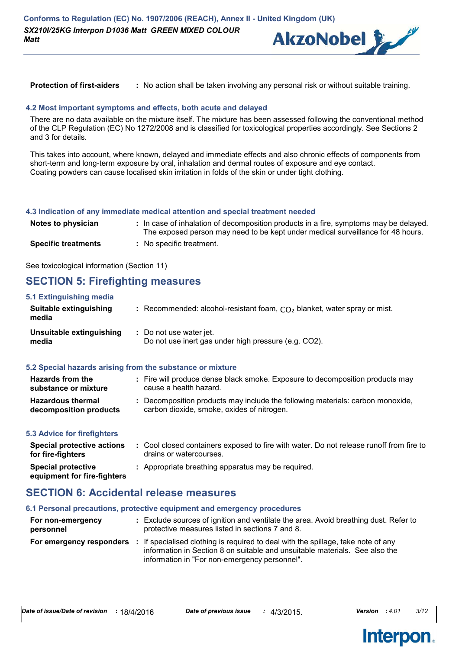

**Protection of first-aiders :** No action shall be taken involving any personal risk or without suitable training.

#### **4.2 Most important symptoms and effects, both acute and delayed**

There are no data available on the mixture itself. The mixture has been assessed following the conventional method of the CLP Regulation (EC) No 1272/2008 and is classified for toxicological properties accordingly. See Sections 2 and 3 for details.

This takes into account, where known, delayed and immediate effects and also chronic effects of components from short-term and long-term exposure by oral, inhalation and dermal routes of exposure and eye contact. Coating powders can cause localised skin irritation in folds of the skin or under tight clothing.

#### **4.3 Indication of any immediate medical attention and special treatment needed**

| Notes to physician         | : In case of inhalation of decomposition products in a fire, symptoms may be delayed.<br>The exposed person may need to be kept under medical surveillance for 48 hours. |
|----------------------------|--------------------------------------------------------------------------------------------------------------------------------------------------------------------------|
| <b>Specific treatments</b> | : No specific treatment.                                                                                                                                                 |

See toxicological information (Section 11)

## **SECTION 5: Firefighting measures**

| 5.1 Extinguishing media           |                                                                                 |
|-----------------------------------|---------------------------------------------------------------------------------|
| Suitable extinguishing<br>media   | : Recommended: alcohol-resistant foam, $CO2$ blanket, water spray or mist.      |
| Unsuitable extinguishing<br>media | : Do not use water jet.<br>Do not use inert gas under high pressure (e.g. CO2). |
|                                   | 5.2 Special hazards arising from the substance or mixture                       |
| <b>Llazarda fram tha</b>          | . Eiro will produce dense blook emeks. Evnesure to desempesitien producte me    |

| <b>Hazards from the</b><br>substance or mixture    | : Fire will produce dense black smoke. Exposure to decomposition products may<br>cause a health hazard.                      |
|----------------------------------------------------|------------------------------------------------------------------------------------------------------------------------------|
| <b>Hazardous thermal</b><br>decomposition products | : Decomposition products may include the following materials: carbon monoxide,<br>carbon dioxide, smoke, oxides of nitrogen. |

#### **5.3 Advice for firefighters**

| Special protective actions<br>for fire-fighters          | : Cool closed containers exposed to fire with water. Do not release runoff from fire to<br>drains or watercourses. |
|----------------------------------------------------------|--------------------------------------------------------------------------------------------------------------------|
| <b>Special protective</b><br>equipment for fire-fighters | : Appropriate breathing apparatus may be required.                                                                 |

## **SECTION 6: Accidental release measures**

#### **6.1 Personal precautions, protective equipment and emergency procedures**

| For non-emergency<br>personnel | : Exclude sources of ignition and ventilate the area. Avoid breathing dust. Refer to<br>protective measures listed in sections 7 and 8.                                                                                                           |
|--------------------------------|---------------------------------------------------------------------------------------------------------------------------------------------------------------------------------------------------------------------------------------------------|
|                                | <b>For emergency responders</b> : If specialised clothing is required to deal with the spillage, take note of any<br>information in Section 8 on suitable and unsuitable materials. See also the<br>information in "For non-emergency personnel". |

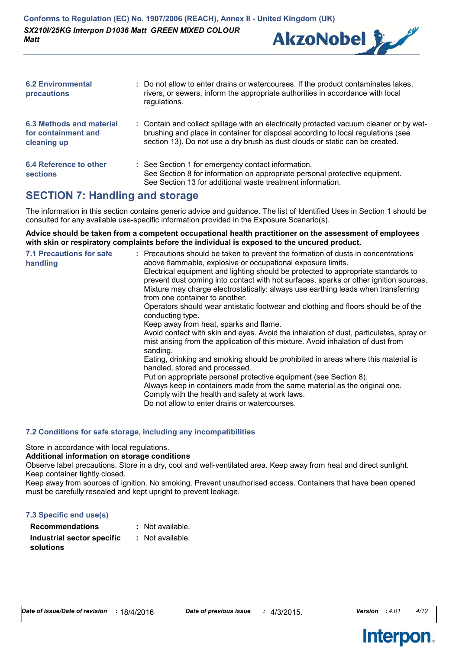

| <b>6.2 Environmental</b><br>precautions                               | : Do not allow to enter drains or watercourses. If the product contaminates lakes,<br>rivers, or sewers, inform the appropriate authorities in accordance with local<br>regulations.                                                                        |
|-----------------------------------------------------------------------|-------------------------------------------------------------------------------------------------------------------------------------------------------------------------------------------------------------------------------------------------------------|
| <b>6.3 Methods and material</b><br>for containment and<br>cleaning up | : Contain and collect spillage with an electrically protected vacuum cleaner or by wet-<br>brushing and place in container for disposal according to local regulations (see<br>section 13). Do not use a dry brush as dust clouds or static can be created. |
| 6.4 Reference to other<br><b>sections</b>                             | : See Section 1 for emergency contact information.<br>See Section 8 for information on appropriate personal protective equipment.<br>See Section 13 for additional waste treatment information.                                                             |

## **SECTION 7: Handling and storage**

The information in this section contains generic advice and guidance. The list of Identified Uses in Section 1 should be consulted for any available use-specific information provided in the Exposure Scenario(s).

**Advice should be taken from a competent occupational health practitioner on the assessment of employees with skin or respiratory complaints before the individual is exposed to the uncured product.**

| <b>7.1 Precautions for safe</b><br>handling | : Precautions should be taken to prevent the formation of dusts in concentrations<br>above flammable, explosive or occupational exposure limits.<br>Electrical equipment and lighting should be protected to appropriate standards to<br>prevent dust coming into contact with hot surfaces, sparks or other ignition sources.<br>Mixture may charge electrostatically: always use earthing leads when transferring<br>from one container to another.<br>Operators should wear antistatic footwear and clothing and floors should be of the<br>conducting type.<br>Keep away from heat, sparks and flame.<br>Avoid contact with skin and eyes. Avoid the inhalation of dust, particulates, spray or<br>mist arising from the application of this mixture. Avoid inhalation of dust from<br>sanding.<br>Eating, drinking and smoking should be prohibited in areas where this material is<br>handled, stored and processed.<br>Put on appropriate personal protective equipment (see Section 8).<br>Always keep in containers made from the same material as the original one.<br>Comply with the health and safety at work laws.<br>Do not allow to enter drains or watercourses. |
|---------------------------------------------|-----------------------------------------------------------------------------------------------------------------------------------------------------------------------------------------------------------------------------------------------------------------------------------------------------------------------------------------------------------------------------------------------------------------------------------------------------------------------------------------------------------------------------------------------------------------------------------------------------------------------------------------------------------------------------------------------------------------------------------------------------------------------------------------------------------------------------------------------------------------------------------------------------------------------------------------------------------------------------------------------------------------------------------------------------------------------------------------------------------------------------------------------------------------------------------|
|---------------------------------------------|-----------------------------------------------------------------------------------------------------------------------------------------------------------------------------------------------------------------------------------------------------------------------------------------------------------------------------------------------------------------------------------------------------------------------------------------------------------------------------------------------------------------------------------------------------------------------------------------------------------------------------------------------------------------------------------------------------------------------------------------------------------------------------------------------------------------------------------------------------------------------------------------------------------------------------------------------------------------------------------------------------------------------------------------------------------------------------------------------------------------------------------------------------------------------------------|

#### **7.2 Conditions for safe storage, including any incompatibilities**

Store in accordance with local regulations.

#### **Additional information on storage conditions**

Observe label precautions. Store in a dry, cool and well-ventilated area. Keep away from heat and direct sunlight. Keep container tightly closed.

Keep away from sources of ignition. No smoking. Prevent unauthorised access. Containers that have been opened must be carefully resealed and kept upright to prevent leakage.

| 7.3 Specific end use(s)    |                  |
|----------------------------|------------------|
| <b>Recommendations</b>     | : Not available. |
| Industrial sector specific | : Not available. |
| solutions                  |                  |

**Interpon.** 

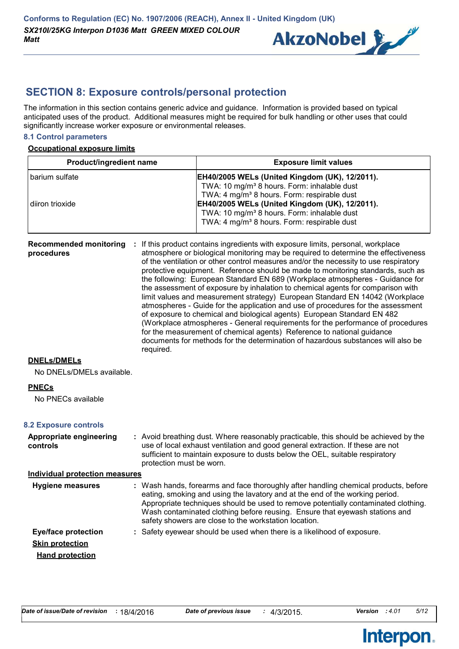

## **SECTION 8: Exposure controls/personal protection**

The information in this section contains generic advice and guidance. Information is provided based on typical anticipated uses of the product. Additional measures might be required for bulk handling or other uses that could significantly increase worker exposure or environmental releases.

#### **8.1 Control parameters**

#### **Occupational exposure limits**

| <b>Product/ingredient name</b> | <b>Exposure limit values</b>                            |
|--------------------------------|---------------------------------------------------------|
| l barium sulfate               | <b>EH40/2005 WELs (United Kingdom (UK), 12/2011).</b>   |
|                                | TWA: 10 mg/m <sup>3</sup> 8 hours. Form: inhalable dust |
|                                | TWA: 4 mg/m <sup>3</sup> 8 hours. Form: respirable dust |
| diiron trioxide                | EH40/2005 WELs (United Kingdom (UK), 12/2011).          |
|                                | TWA: 10 mg/m <sup>3</sup> 8 hours. Form: inhalable dust |
|                                | TWA: 4 mg/m <sup>3</sup> 8 hours. Form: respirable dust |

| <b>Recommended monitoring</b><br>procedures | If this product contains ingredients with exposure limits, personal, workplace<br>÷.<br>atmosphere or biological monitoring may be required to determine the effectiveness<br>of the ventilation or other control measures and/or the necessity to use respiratory<br>protective equipment. Reference should be made to monitoring standards, such as<br>the following: European Standard EN 689 (Workplace atmospheres - Guidance for<br>the assessment of exposure by inhalation to chemical agents for comparison with<br>limit values and measurement strategy) European Standard EN 14042 (Workplace<br>atmospheres - Guide for the application and use of procedures for the assessment<br>of exposure to chemical and biological agents) European Standard EN 482<br>(Workplace atmospheres - General requirements for the performance of procedures<br>for the measurement of chemical agents) Reference to national guidance<br>documents for methods for the determination of hazardous substances will also be<br>required. |
|---------------------------------------------|----------------------------------------------------------------------------------------------------------------------------------------------------------------------------------------------------------------------------------------------------------------------------------------------------------------------------------------------------------------------------------------------------------------------------------------------------------------------------------------------------------------------------------------------------------------------------------------------------------------------------------------------------------------------------------------------------------------------------------------------------------------------------------------------------------------------------------------------------------------------------------------------------------------------------------------------------------------------------------------------------------------------------------------|
|---------------------------------------------|----------------------------------------------------------------------------------------------------------------------------------------------------------------------------------------------------------------------------------------------------------------------------------------------------------------------------------------------------------------------------------------------------------------------------------------------------------------------------------------------------------------------------------------------------------------------------------------------------------------------------------------------------------------------------------------------------------------------------------------------------------------------------------------------------------------------------------------------------------------------------------------------------------------------------------------------------------------------------------------------------------------------------------------|

#### **DNELs/DMELs**

No DNELs/DMELs available.

#### **PNECs**

No PNECs available

#### **8.2 Exposure controls**

| Appropriate engineering<br>controls | : Avoid breathing dust. Where reasonably practicable, this should be achieved by the<br>use of local exhaust ventilation and good general extraction. If these are not<br>sufficient to maintain exposure to dusts below the OEL, suitable respiratory<br>protection must be worn.                                                                                                                |
|-------------------------------------|---------------------------------------------------------------------------------------------------------------------------------------------------------------------------------------------------------------------------------------------------------------------------------------------------------------------------------------------------------------------------------------------------|
| Individual protection measures      |                                                                                                                                                                                                                                                                                                                                                                                                   |
| <b>Hygiene measures</b>             | : Wash hands, forearms and face thoroughly after handling chemical products, before<br>eating, smoking and using the lavatory and at the end of the working period.<br>Appropriate techniques should be used to remove potentially contaminated clothing.<br>Wash contaminated clothing before reusing. Ensure that eyewash stations and<br>safety showers are close to the workstation location. |
| <b>Eye/face protection</b>          | : Safety eyewear should be used when there is a likelihood of exposure.                                                                                                                                                                                                                                                                                                                           |
| <b>Skin protection</b>              |                                                                                                                                                                                                                                                                                                                                                                                                   |
| <b>Hand protection</b>              |                                                                                                                                                                                                                                                                                                                                                                                                   |

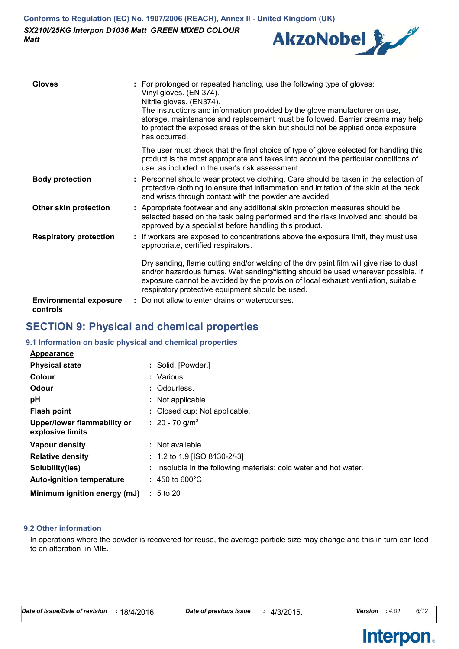

| <b>Gloves</b>                             | : For prolonged or repeated handling, use the following type of gloves:<br>Vinyl gloves. (EN 374).<br>Nitrile gloves. (EN374).<br>The instructions and information provided by the glove manufacturer on use,<br>storage, maintenance and replacement must be followed. Barrier creams may help<br>to protect the exposed areas of the skin but should not be applied once exposure<br>has occurred. |
|-------------------------------------------|------------------------------------------------------------------------------------------------------------------------------------------------------------------------------------------------------------------------------------------------------------------------------------------------------------------------------------------------------------------------------------------------------|
|                                           | The user must check that the final choice of type of glove selected for handling this<br>product is the most appropriate and takes into account the particular conditions of<br>use, as included in the user's risk assessment.                                                                                                                                                                      |
| <b>Body protection</b>                    | : Personnel should wear protective clothing. Care should be taken in the selection of<br>protective clothing to ensure that inflammation and irritation of the skin at the neck<br>and wrists through contact with the powder are avoided.                                                                                                                                                           |
| Other skin protection                     | : Appropriate footwear and any additional skin protection measures should be<br>selected based on the task being performed and the risks involved and should be<br>approved by a specialist before handling this product.                                                                                                                                                                            |
| <b>Respiratory protection</b>             | : If workers are exposed to concentrations above the exposure limit, they must use<br>appropriate, certified respirators.                                                                                                                                                                                                                                                                            |
|                                           | Dry sanding, flame cutting and/or welding of the dry paint film will give rise to dust<br>and/or hazardous fumes. Wet sanding/flatting should be used wherever possible. If<br>exposure cannot be avoided by the provision of local exhaust ventilation, suitable<br>respiratory protective equipment should be used.                                                                                |
| <b>Environmental exposure</b><br>controls | : Do not allow to enter drains or watercourses.                                                                                                                                                                                                                                                                                                                                                      |

## **SECTION 9: Physical and chemical properties**

#### **9.1 Information on basic physical and chemical properties**

| <b>Appearance</b>                               |                                                                   |
|-------------------------------------------------|-------------------------------------------------------------------|
| <b>Physical state</b>                           | : Solid. [Powder.]                                                |
| Colour                                          | : Various                                                         |
| Odour                                           | : Odourless.                                                      |
| рH                                              | : Not applicable.                                                 |
| <b>Flash point</b>                              | : Closed cup: Not applicable.                                     |
| Upper/lower flammability or<br>explosive limits | : 20 - 70 g/m <sup>3</sup>                                        |
| Vapour density                                  | : Not available.                                                  |
| <b>Relative density</b>                         | : 1.2 to 1.9 [ISO 8130-2/-3]                                      |
| Solubility(ies)                                 | : Insoluble in the following materials: cold water and hot water. |
| <b>Auto-ignition temperature</b>                | $: 450$ to 600 $^{\circ}$ C                                       |
| Minimum ignition energy (mJ)                    | $\pm 5$ to 20                                                     |

#### **9.2 Other information**

In operations where the powder is recovered for reuse, the average particle size may change and this in turn can lead to an alteration in MIE.



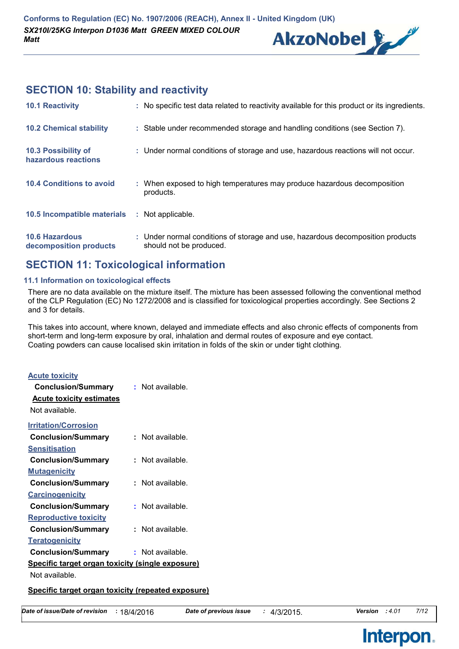

# **SECTION 10: Stability and reactivity**

| <b>10.1 Reactivity</b>                          | : No specific test data related to reactivity available for this product or its ingredients.              |
|-------------------------------------------------|-----------------------------------------------------------------------------------------------------------|
| <b>10.2 Chemical stability</b>                  | : Stable under recommended storage and handling conditions (see Section 7).                               |
| 10.3 Possibility of<br>hazardous reactions      | : Under normal conditions of storage and use, hazardous reactions will not occur.                         |
| <b>10.4 Conditions to avoid</b>                 | : When exposed to high temperatures may produce hazardous decomposition<br>products.                      |
| 10.5 Incompatible materials : Not applicable.   |                                                                                                           |
| <b>10.6 Hazardous</b><br>decomposition products | : Under normal conditions of storage and use, hazardous decomposition products<br>should not be produced. |

## **SECTION 11: Toxicological information**

#### **11.1 Information on toxicological effects**

There are no data available on the mixture itself. The mixture has been assessed following the conventional method of the CLP Regulation (EC) No 1272/2008 and is classified for toxicological properties accordingly. See Sections 2 and 3 for details.

This takes into account, where known, delayed and immediate effects and also chronic effects of components from short-term and long-term exposure by oral, inhalation and dermal routes of exposure and eye contact. Coating powders can cause localised skin irritation in folds of the skin or under tight clothing.

| <u>Acute toxicity</u>                            |                  |  |  |
|--------------------------------------------------|------------------|--|--|
| <b>Conclusion/Summary</b>                        | : Not available. |  |  |
| <b>Acute toxicity estimates</b>                  |                  |  |  |
| Not available.                                   |                  |  |  |
| <b>Irritation/Corrosion</b>                      |                  |  |  |
| <b>Conclusion/Summary</b>                        | Not available.   |  |  |
| Sensitisation                                    |                  |  |  |
| <b>Conclusion/Summary</b>                        | Not available.   |  |  |
| <u>Mutagenicity</u>                              |                  |  |  |
| <b>Conclusion/Summary</b>                        | Not available.   |  |  |
| <b>Carcinogenicity</b>                           |                  |  |  |
| <b>Conclusion/Summary</b>                        | Not available.   |  |  |
| <b>Reproductive toxicity</b>                     |                  |  |  |
| <b>Conclusion/Summary</b>                        | Not available.   |  |  |
| <b>Teratogenicity</b>                            |                  |  |  |
| <b>Conclusion/Summary</b>                        | Not available.   |  |  |
| Specific target organ toxicity (single exposure) |                  |  |  |
| Not available                                    |                  |  |  |

#### **Specific target organ toxicity (repeated exposure)**

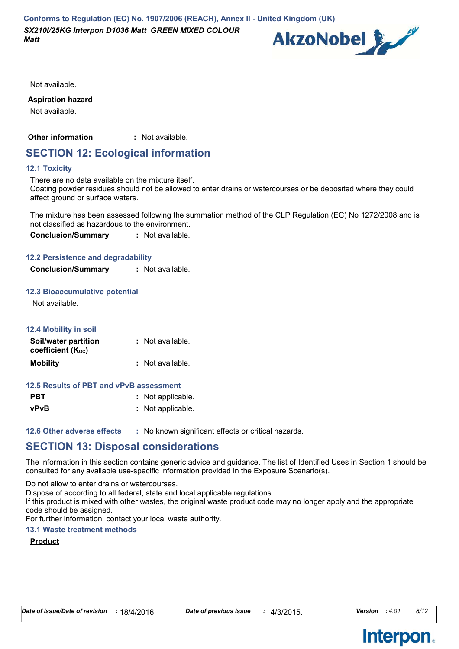

Not available.

#### **Aspiration hazard**

Not available.

**Other information :** : Not available.

## **SECTION 12: Ecological information**

#### **12.1 Toxicity**

There are no data available on the mixture itself.

Coating powder residues should not be allowed to enter drains or watercourses or be deposited where they could affect ground or surface waters.

The mixture has been assessed following the summation method of the CLP Regulation (EC) No 1272/2008 and is not classified as hazardous to the environment.

**Conclusion/Summary :** Not available.

#### **12.2 Persistence and degradability**

**Conclusion/Summary :** Not available.

#### **12.3 Bioaccumulative potential**

Not available.

| <b>12.4 Mobility in soil</b>              |                  |
|-------------------------------------------|------------------|
| Soil/water partition<br>coefficient (Koc) | : Not available. |
| <b>Mobility</b>                           | : Not available. |

#### **12.5 Results of PBT and vPvB assessment**

| <b>PBT</b> | : Not applicable. |
|------------|-------------------|
| vPvB       | : Not applicable. |

**12.6 Other adverse effects** : No known significant effects or critical hazards.

# **SECTION 13: Disposal considerations**

The information in this section contains generic advice and guidance. The list of Identified Uses in Section 1 should be consulted for any available use-specific information provided in the Exposure Scenario(s).

Do not allow to enter drains or watercourses.

Dispose of according to all federal, state and local applicable regulations.

If this product is mixed with other wastes, the original waste product code may no longer apply and the appropriate code should be assigned.

For further information, contact your local waste authority.

### **13.1 Waste treatment methods**

## **Product**

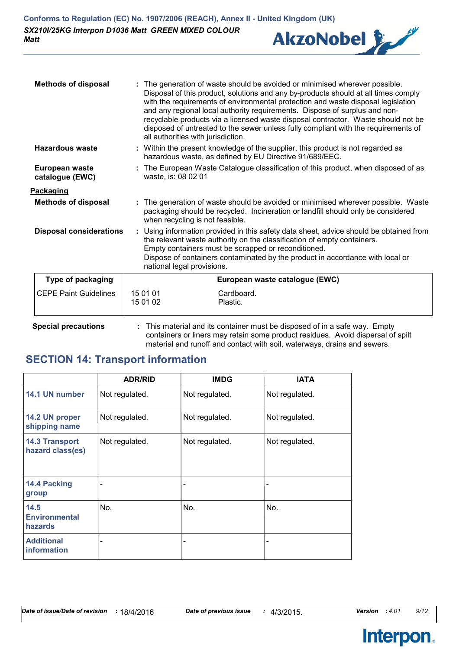

| <b>Methods of disposal</b>        | : The generation of waste should be avoided or minimised wherever possible.<br>Disposal of this product, solutions and any by-products should at all times comply<br>with the requirements of environmental protection and waste disposal legislation<br>and any regional local authority requirements. Dispose of surplus and non-<br>recyclable products via a licensed waste disposal contractor. Waste should not be<br>disposed of untreated to the sewer unless fully compliant with the requirements of<br>all authorities with jurisdiction. |  |  |
|-----------------------------------|------------------------------------------------------------------------------------------------------------------------------------------------------------------------------------------------------------------------------------------------------------------------------------------------------------------------------------------------------------------------------------------------------------------------------------------------------------------------------------------------------------------------------------------------------|--|--|
| Hazardous waste                   | : Within the present knowledge of the supplier, this product is not regarded as<br>hazardous waste, as defined by EU Directive 91/689/EEC.                                                                                                                                                                                                                                                                                                                                                                                                           |  |  |
| European waste<br>catalogue (EWC) | : The European Waste Catalogue classification of this product, when disposed of as<br>waste, is: 08 02 01                                                                                                                                                                                                                                                                                                                                                                                                                                            |  |  |
| <u>Packaging</u>                  |                                                                                                                                                                                                                                                                                                                                                                                                                                                                                                                                                      |  |  |
| <b>Methods of disposal</b>        | : The generation of waste should be avoided or minimised wherever possible. Waste<br>packaging should be recycled. Incineration or landfill should only be considered<br>when recycling is not feasible.                                                                                                                                                                                                                                                                                                                                             |  |  |
| <b>Disposal considerations</b>    | : Using information provided in this safety data sheet, advice should be obtained from<br>the relevant waste authority on the classification of empty containers.<br>Empty containers must be scrapped or reconditioned.<br>Dispose of containers contaminated by the product in accordance with local or<br>national legal provisions.                                                                                                                                                                                                              |  |  |
| Type of packaging                 | European waste catalogue (EWC)                                                                                                                                                                                                                                                                                                                                                                                                                                                                                                                       |  |  |
| <b>CEPE Paint Guidelines</b>      | 15 01 01<br>Cardboard.<br>15 01 02<br>Plastic.                                                                                                                                                                                                                                                                                                                                                                                                                                                                                                       |  |  |

**Special precautions :** This material and its container must be disposed of in a safe way. Empty containers or liners may retain some product residues. Avoid dispersal of spilt material and runoff and contact with soil, waterways, drains and sewers.

# **SECTION 14: Transport information**

|                                                | <b>ADR/RID</b> | <b>IMDG</b>                  | <b>IATA</b>    |
|------------------------------------------------|----------------|------------------------------|----------------|
| 14.1 UN number                                 | Not regulated. | Not regulated.               | Not regulated. |
| 14.2 UN proper<br>shipping name                | Not regulated. | Not regulated.               | Not regulated. |
| <b>14.3 Transport</b><br>hazard class(es)      | Not regulated. | Not regulated.               | Not regulated. |
| 14.4 Packing<br>group                          |                | $\qquad \qquad \blacksquare$ | ۰              |
| 14.5<br><b>Environmental</b><br><b>hazards</b> | No.            | No.                          | No.            |
| <b>Additional</b><br>information               |                | -                            | ۰              |

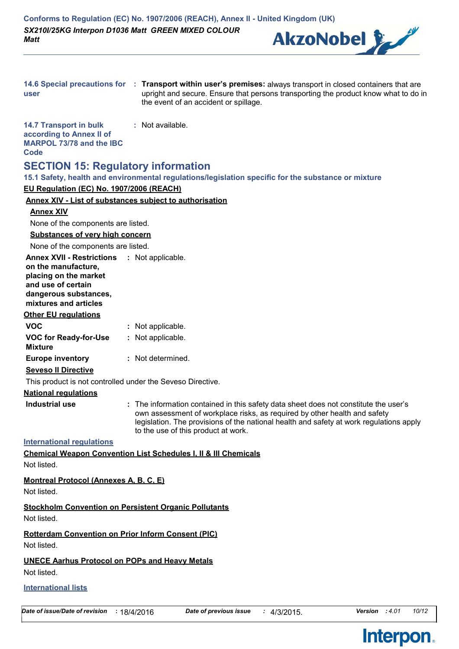

| user                                                                                                 | 14.6 Special precautions for : Transport within user's premises: always transport in closed containers that are<br>upright and secure. Ensure that persons transporting the product know what to do in<br>the event of an accident or spillage.                                                     |
|------------------------------------------------------------------------------------------------------|-----------------------------------------------------------------------------------------------------------------------------------------------------------------------------------------------------------------------------------------------------------------------------------------------------|
| <b>14.7 Transport in bulk</b><br>according to Annex II of<br><b>MARPOL 73/78 and the IBC</b><br>Code | : Not available.                                                                                                                                                                                                                                                                                    |
| <b>SECTION 15: Regulatory information</b>                                                            | 15.1 Safety, health and environmental regulations/legislation specific for the substance or mixture                                                                                                                                                                                                 |
| EU Regulation (EC) No. 1907/2006 (REACH)                                                             |                                                                                                                                                                                                                                                                                                     |
|                                                                                                      | <b>Annex XIV - List of substances subject to authorisation</b>                                                                                                                                                                                                                                      |
| <b>Annex XIV</b>                                                                                     |                                                                                                                                                                                                                                                                                                     |
| None of the components are listed.                                                                   |                                                                                                                                                                                                                                                                                                     |
| <b>Substances of very high concern</b>                                                               |                                                                                                                                                                                                                                                                                                     |
| None of the components are listed.                                                                   |                                                                                                                                                                                                                                                                                                     |
| Annex XVII - Restrictions : Not applicable.                                                          |                                                                                                                                                                                                                                                                                                     |
| on the manufacture,                                                                                  |                                                                                                                                                                                                                                                                                                     |
| placing on the market<br>and use of certain                                                          |                                                                                                                                                                                                                                                                                                     |
| dangerous substances,                                                                                |                                                                                                                                                                                                                                                                                                     |
| mixtures and articles                                                                                |                                                                                                                                                                                                                                                                                                     |
| <b>Other EU regulations</b>                                                                          |                                                                                                                                                                                                                                                                                                     |
| <b>VOC</b>                                                                                           | : Not applicable.                                                                                                                                                                                                                                                                                   |
| <b>VOC for Ready-for-Use</b><br>Mixture                                                              | : Not applicable.                                                                                                                                                                                                                                                                                   |
| <b>Europe inventory</b>                                                                              | : Not determined.                                                                                                                                                                                                                                                                                   |
| <b>Seveso II Directive</b>                                                                           |                                                                                                                                                                                                                                                                                                     |
| This product is not controlled under the Seveso Directive.                                           |                                                                                                                                                                                                                                                                                                     |
| <b>National regulations</b>                                                                          |                                                                                                                                                                                                                                                                                                     |
| <b>Industrial use</b>                                                                                | : The information contained in this safety data sheet does not constitute the user's<br>own assessment of workplace risks, as required by other health and safety<br>legislation. The provisions of the national health and safety at work regulations apply<br>to the use of this product at work. |
| <b>International regulations</b>                                                                     |                                                                                                                                                                                                                                                                                                     |
| Not listed.                                                                                          | <b>Chemical Weapon Convention List Schedules I, II &amp; III Chemicals</b>                                                                                                                                                                                                                          |
| Montreal Protocol (Annexes A, B, C, E)<br>Not listed.                                                |                                                                                                                                                                                                                                                                                                     |
| Not listed.                                                                                          | <b>Stockholm Convention on Persistent Organic Pollutants</b>                                                                                                                                                                                                                                        |
| <b>Rotterdam Convention on Prior Inform Consent (PIC)</b><br>Not listed.                             |                                                                                                                                                                                                                                                                                                     |
| <b>UNECE Aarhus Protocol on POPs and Heavy Metals</b><br>Not listed.                                 |                                                                                                                                                                                                                                                                                                     |
|                                                                                                      |                                                                                                                                                                                                                                                                                                     |

**International lists**

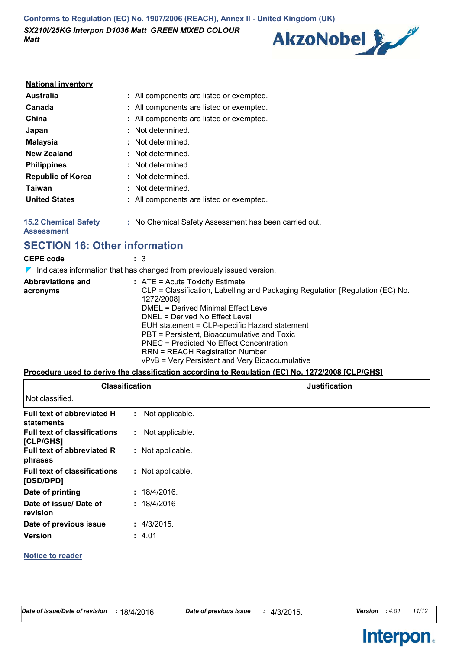**Conforms to Regulation (EC) No. 1907/2006 (REACH), Annex II - United Kingdom (UK)** *SX210I/25KG Interpon D1036 Matt GREEN MIXED COLOUR Matt*

# AkzoNobel &

#### **National inventory**

| <b>Australia</b>         | : All components are listed or exempted. |
|--------------------------|------------------------------------------|
| Canada                   | : All components are listed or exempted. |
| China                    | : All components are listed or exempted. |
| Japan                    | : Not determined.                        |
| <b>Malaysia</b>          | : Not determined.                        |
| <b>New Zealand</b>       | : Not determined.                        |
| <b>Philippines</b>       | : Not determined.                        |
| <b>Republic of Korea</b> | : Not determined.                        |
| Taiwan                   | : Not determined.                        |
| <b>United States</b>     | : All components are listed or exempted. |
|                          |                                          |

**15.2 Chemical Safety :** No Chemical Safety Assessment has been carried out.

**Assessment**

**SECTION 16: Other information**

| <b>CEPE code</b>                     | : 3<br>Indicates information that has changed from previously issued version.                                                                                                                                                                                                                                                                                                                                                                      |
|--------------------------------------|----------------------------------------------------------------------------------------------------------------------------------------------------------------------------------------------------------------------------------------------------------------------------------------------------------------------------------------------------------------------------------------------------------------------------------------------------|
| <b>Abbreviations and</b><br>acronyms | $:$ ATE = Acute Toxicity Estimate<br>CLP = Classification, Labelling and Packaging Regulation [Regulation (EC) No.<br>1272/2008]<br>DMEL = Derived Minimal Effect Level<br>DNEL = Derived No Effect Level<br>EUH statement = CLP-specific Hazard statement<br>PBT = Persistent, Bioaccumulative and Toxic<br>PNEC = Predicted No Effect Concentration<br><b>RRN = REACH Registration Number</b><br>vPvB = Very Persistent and Very Bioaccumulative |

#### **Procedure used to derive the classification according to Regulation (EC) No. 1272/2008 [CLP/GHS]**

| <b>Classification</b>                            |                   | <b>Justification</b> |
|--------------------------------------------------|-------------------|----------------------|
| Not classified.                                  |                   |                      |
| Full text of abbreviated H<br>statements         | : Not applicable. |                      |
| <b>Full text of classifications</b><br>[CLP/GHS] | : Not applicable. |                      |
| Full text of abbreviated R<br>phrases            | : Not applicable. |                      |
| <b>Full text of classifications</b><br>[DSD/DPD] | : Not applicable. |                      |
| Date of printing                                 | : 18/4/2016.      |                      |
| Date of issue/ Date of<br>revision               | : 18/4/2016       |                      |
| Date of previous issue                           | : 4/3/2015.       |                      |
| <b>Version</b>                                   | : 4.01            |                      |